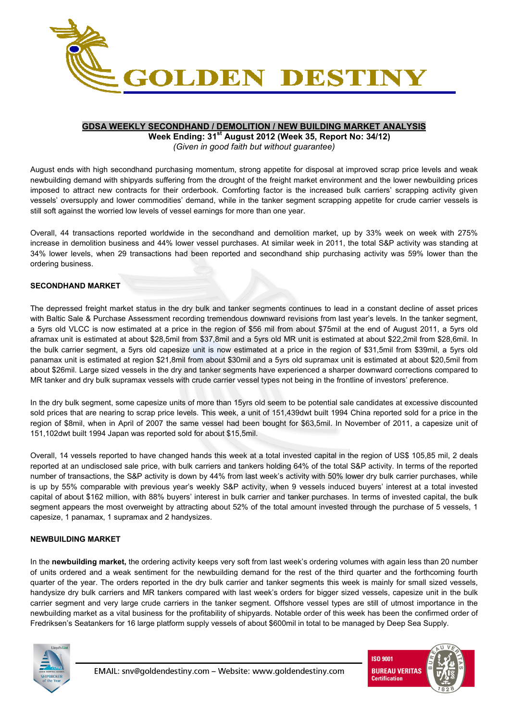

### **GDSA WEEKLY SECONDHAND / DEMOLITION / NEW BUILDING MARKET ANALYSIS**

**Week Ending: 31st August 2012 (Week 35, Report No: 34/12)**  *(Given in good faith but without guarantee)* 

August ends with high secondhand purchasing momentum, strong appetite for disposal at improved scrap price levels and weak newbuilding demand with shipyards suffering from the drought of the freight market environment and the lower newbuilding prices imposed to attract new contracts for their orderbook. Comforting factor is the increased bulk carriers' scrapping activity given vessels' oversupply and lower commodities' demand, while in the tanker segment scrapping appetite for crude carrier vessels is still soft against the worried low levels of vessel earnings for more than one year.

Overall, 44 transactions reported worldwide in the secondhand and demolition market, up by 33% week on week with 275% increase in demolition business and 44% lower vessel purchases. At similar week in 2011, the total S&P activity was standing at 34% lower levels, when 29 transactions had been reported and secondhand ship purchasing activity was 59% lower than the ordering business.

## **SECONDHAND MARKET**

The depressed freight market status in the dry bulk and tanker segments continues to lead in a constant decline of asset prices with Baltic Sale & Purchase Assessment recording tremendous downward revisions from last year's levels. In the tanker segment, a 5yrs old VLCC is now estimated at a price in the region of \$56 mil from about \$75mil at the end of August 2011, a 5yrs old aframax unit is estimated at about \$28,5mil from \$37,8mil and a 5yrs old MR unit is estimated at about \$22,2mil from \$28,6mil. In the bulk carrier segment, a 5yrs old capesize unit is now estimated at a price in the region of \$31,5mil from \$39mil, a 5yrs old panamax unit is estimated at region \$21,8mil from about \$30mil and a 5yrs old supramax unit is estimated at about \$20,5mil from about \$26mil. Large sized vessels in the dry and tanker segments have experienced a sharper downward corrections compared to MR tanker and dry bulk supramax vessels with crude carrier vessel types not being in the frontline of investors' preference.

In the dry bulk segment, some capesize units of more than 15yrs old seem to be potential sale candidates at excessive discounted sold prices that are nearing to scrap price levels. This week, a unit of 151,439dwt built 1994 China reported sold for a price in the region of \$8mil, when in April of 2007 the same vessel had been bought for \$63,5mil. In November of 2011, a capesize unit of 151,102dwt built 1994 Japan was reported sold for about \$15,5mil.

Overall, 14 vessels reported to have changed hands this week at a total invested capital in the region of US\$ 105,85 mil, 2 deals reported at an undisclosed sale price, with bulk carriers and tankers holding 64% of the total S&P activity. In terms of the reported number of transactions, the S&P activity is down by 44% from last week's activity with 50% lower dry bulk carrier purchases, while is up by 55% comparable with previous year's weekly S&P activity, when 9 vessels induced buyers' interest at a total invested capital of about \$162 million, with 88% buyers' interest in bulk carrier and tanker purchases. In terms of invested capital, the bulk segment appears the most overweight by attracting about 52% of the total amount invested through the purchase of 5 vessels, 1 capesize, 1 panamax, 1 supramax and 2 handysizes.

### **NEWBUILDING MARKET**

In the **newbuilding market,** the ordering activity keeps very soft from last week's ordering volumes with again less than 20 number of units ordered and a weak sentiment for the newbuilding demand for the rest of the third quarter and the forthcoming fourth quarter of the year. The orders reported in the dry bulk carrier and tanker segments this week is mainly for small sized vessels, handysize dry bulk carriers and MR tankers compared with last week's orders for bigger sized vessels, capesize unit in the bulk carrier segment and very large crude carriers in the tanker segment. Offshore vessel types are still of utmost importance in the newbuilding market as a vital business for the profitability of shipyards. Notable order of this week has been the confirmed order of Fredriksen's Seatankers for 16 large platform supply vessels of about \$600mil in total to be managed by Deep Sea Supply.



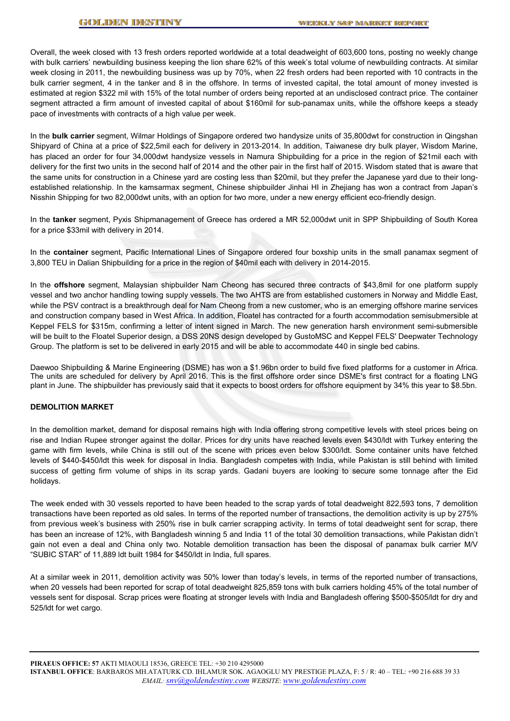Overall, the week closed with 13 fresh orders reported worldwide at a total deadweight of 603,600 tons, posting no weekly change with bulk carriers' newbuilding business keeping the lion share 62% of this week's total volume of newbuilding contracts. At similar week closing in 2011, the newbuilding business was up by 70%, when 22 fresh orders had been reported with 10 contracts in the bulk carrier segment, 4 in the tanker and 8 in the offshore. In terms of invested capital, the total amount of money invested is estimated at region \$322 mil with 15% of the total number of orders being reported at an undisclosed contract price. The container segment attracted a firm amount of invested capital of about \$160mil for sub-panamax units, while the offshore keeps a steady pace of investments with contracts of a high value per week.

In the **bulk carrier** segment, Wilmar Holdings of Singapore ordered two handysize units of 35,800dwt for construction in Qingshan Shipyard of China at a price of \$22,5mil each for delivery in 2013-2014. In addition, Taiwanese dry bulk player, Wisdom Marine, has placed an order for four 34,000dwt handysize vessels in Namura Shipbuilding for a price in the region of \$21mil each with delivery for the first two units in the second half of 2014 and the other pair in the first half of 2015. Wisdom stated that is aware that the same units for construction in a Chinese yard are costing less than \$20mil, but they prefer the Japanese yard due to their longestablished relationship. In the kamsarmax segment, Chinese shipbuilder Jinhai HI in Zhejiang has won a contract from Japan's Nisshin Shipping for two 82,000dwt units, with an option for two more, under a new energy efficient eco-friendly design.

In the **tanker** segment, Pyxis Shipmanagement of Greece has ordered a MR 52,000dwt unit in SPP Shipbuilding of South Korea for a price \$33mil with delivery in 2014.

In the **container** segment, Pacific International Lines of Singapore ordered four boxship units in the small panamax segment of 3,800 TEU in Dalian Shipbuilding for a price in the region of \$40mil each with delivery in 2014-2015.

In the **offshore** segment, Malaysian shipbuilder Nam Cheong has secured three contracts of \$43,8mil for one platform supply vessel and two anchor handling towing supply vessels. The two AHTS are from established customers in Norway and Middle East, while the PSV contract is a breakthrough deal for Nam Cheong from a new customer, who is an emerging offshore marine services and construction company based in West Africa. In addition, Floatel has contracted for a fourth accommodation semisubmersible at Keppel FELS for \$315m, confirming a letter of intent signed in March. The new generation harsh environment semi-submersible will be built to the Floatel Superior design, a DSS 20NS design developed by GustoMSC and Keppel FELS' Deepwater Technology Group. The platform is set to be delivered in early 2015 and will be able to accommodate 440 in single bed cabins.

Daewoo Shipbuilding & Marine Engineering (DSME) has won a \$1.96bn order to build five fixed platforms for a customer in Africa. The units are scheduled for delivery by April 2016. This is the first offshore order since DSME's first contract for a floating LNG plant in June. The shipbuilder has previously said that it expects to boost orders for offshore equipment by 34% this year to \$8.5bn.

#### **DEMOLITION MARKET**

In the demolition market, demand for disposal remains high with India offering strong competitive levels with steel prices being on rise and Indian Rupee stronger against the dollar. Prices for dry units have reached levels even \$430/ldt with Turkey entering the game with firm levels, while China is still out of the scene with prices even below \$300/ldt. Some container units have fetched levels of \$440-\$450/ldt this week for disposal in India. Bangladesh competes with India, while Pakistan is still behind with limited success of getting firm volume of ships in its scrap yards. Gadani buyers are looking to secure some tonnage after the Eid holidays.

The week ended with 30 vessels reported to have been headed to the scrap yards of total deadweight 822,593 tons, 7 demolition transactions have been reported as old sales. In terms of the reported number of transactions, the demolition activity is up by 275% from previous week's business with 250% rise in bulk carrier scrapping activity. In terms of total deadweight sent for scrap, there has been an increase of 12%, with Bangladesh winning 5 and India 11 of the total 30 demolition transactions, while Pakistan didn't gain not even a deal and China only two. Notable demolition transaction has been the disposal of panamax bulk carrier M/V "SUBIC STAR" of 11,889 ldt built 1984 for \$450/ldt in India, full spares.

At a similar week in 2011, demolition activity was 50% lower than today's levels, in terms of the reported number of transactions, when 20 vessels had been reported for scrap of total deadweight 825,859 tons with bulk carriers holding 45% of the total number of vessels sent for disposal. Scrap prices were floating at stronger levels with India and Bangladesh offering \$500-\$505/ldt for dry and 525/ldt for wet cargo.

**PIRAEUS OFFICE: 57** AKTI MIAOULI 18536, GREECE TEL: +30 210 4295000 **ISTANBUL OFFICE**: BARBAROS MH.ATATURK CD. IHLAMUR SOK. AGAOGLU MY PRESTIGE PLAZA, F: 5 / R: 40 – TEL: +90 216 688 39 33 *EMAIL: snv@goldendestiny.com WEBSITE*: *www.goldendestiny.com*